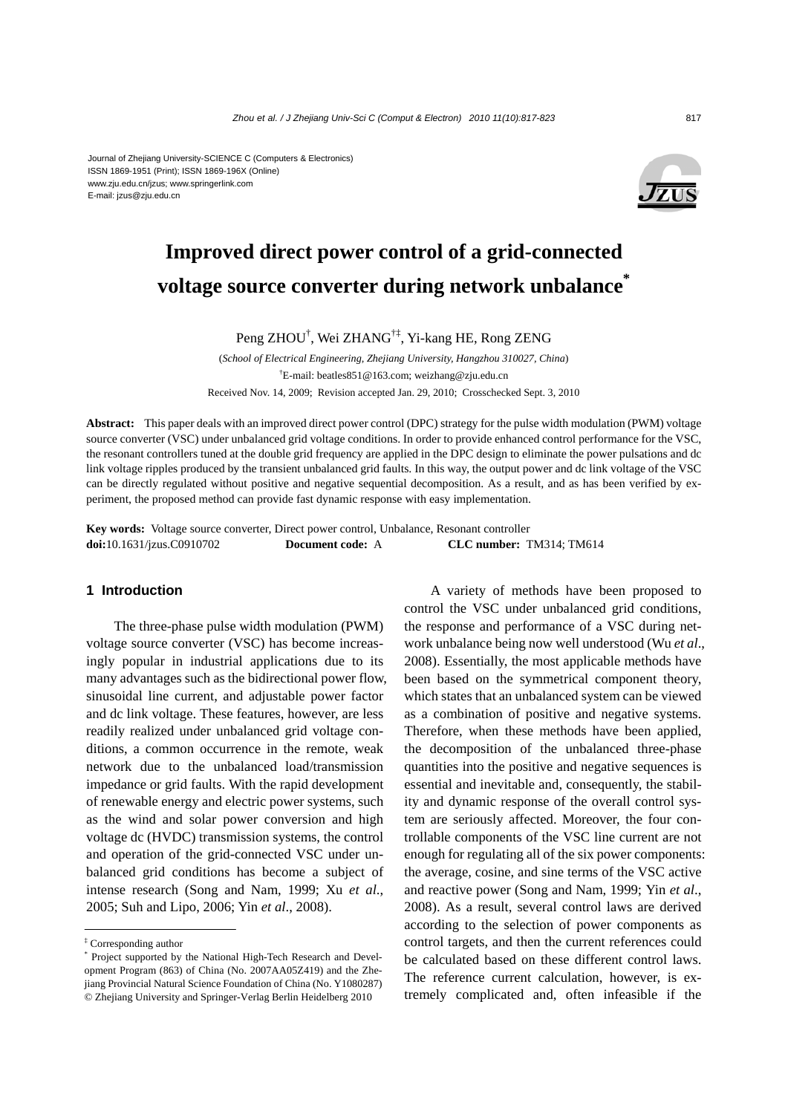#### Journal of Zhejiang University-SCIENCE C (Computers & Electronics) ISSN 1869-1951 (Print); ISSN 1869-196X (Online) www.zju.edu.cn/jzus; www.springerlink.com E-mail: jzus@zju.edu.cn



# **Improved direct power control of a grid-connected voltage source converter during network unbalance\***

Peng ZHOU† , Wei ZHANG†‡, Yi-kang HE, Rong ZENG

(*School of Electrical Engineering, Zhejiang University, Hangzhou 310027, China*) † E-mail: beatles851@163.com; weizhang@zju.edu.cn Received Nov. 14, 2009; Revision accepted Jan. 29, 2010; Crosschecked Sept. 3, 2010

**Abstract:** This paper deals with an improved direct power control (DPC) strategy for the pulse width modulation (PWM) voltage source converter (VSC) under unbalanced grid voltage conditions. In order to provide enhanced control performance for the VSC, the resonant controllers tuned at the double grid frequency are applied in the DPC design to eliminate the power pulsations and dc link voltage ripples produced by the transient unbalanced grid faults. In this way, the output power and dc link voltage of the VSC can be directly regulated without positive and negative sequential decomposition. As a result, and as has been verified by experiment, the proposed method can provide fast dynamic response with easy implementation.

**Key words:** Voltage source converter, Direct power control, Unbalance, Resonant controller **doi:**10.1631/jzus.C0910702 **Document code:** A **CLC number:** TM314; TM614

## **1 Introduction**

The three-phase pulse width modulation (PWM) voltage source converter (VSC) has become increasingly popular in industrial applications due to its many advantages such as the bidirectional power flow, sinusoidal line current, and adjustable power factor and dc link voltage. These features, however, are less readily realized under unbalanced grid voltage conditions, a common occurrence in the remote, weak network due to the unbalanced load/transmission impedance or grid faults. With the rapid development of renewable energy and electric power systems, such as the wind and solar power conversion and high voltage dc (HVDC) transmission systems, the control and operation of the grid-connected VSC under unbalanced grid conditions has become a subject of intense research (Song and Nam, 1999; Xu *et al*., 2005; Suh and Lipo, 2006; Yin *et al*., 2008).

A variety of methods have been proposed to control the VSC under unbalanced grid conditions, the response and performance of a VSC during network unbalance being now well understood (Wu *et al*., 2008). Essentially, the most applicable methods have been based on the symmetrical component theory, which states that an unbalanced system can be viewed as a combination of positive and negative systems. Therefore, when these methods have been applied, the decomposition of the unbalanced three-phase quantities into the positive and negative sequences is essential and inevitable and, consequently, the stability and dynamic response of the overall control system are seriously affected. Moreover, the four controllable components of the VSC line current are not enough for regulating all of the six power components: the average, cosine, and sine terms of the VSC active and reactive power (Song and Nam, 1999; Yin *et al*., 2008). As a result, several control laws are derived according to the selection of power components as control targets, and then the current references could be calculated based on these different control laws. The reference current calculation, however, is extremely complicated and, often infeasible if the

<sup>‡</sup> Corresponding author

<sup>\*</sup> Project supported by the National High-Tech Research and Development Program (863) of China (No. 2007AA05Z419) and the Zhejiang Provincial Natural Science Foundation of China (No. Y1080287) © Zhejiang University and Springer-Verlag Berlin Heidelberg 2010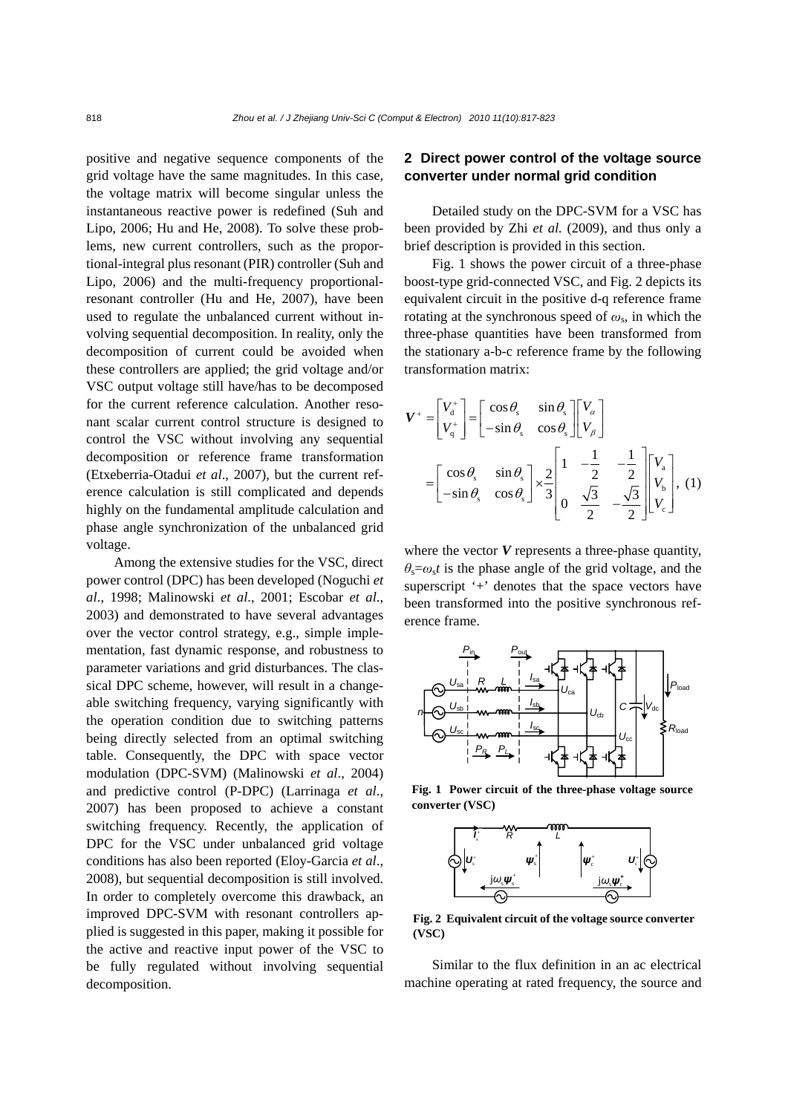positive and negative sequence components of the grid voltage have the same magnitudes. In this case, the voltage matrix will become singular unless the instantaneous reactive power is redefined (Suh and Lipo, 2006; Hu and He, 2008). To solve these problems, new current controllers, such as the proportional-integral plus resonant (PIR) controller (Suh and Lipo, 2006) and the multi-frequency proportionalresonant controller (Hu and He, 2007), have been used to regulate the unbalanced current without involving sequential decomposition. In reality, only the decomposition of current could be avoided when these controllers are applied; the grid voltage and/or VSC output voltage still have/has to be decomposed for the current reference calculation. Another resonant scalar current control structure is designed to control the VSC without involving any sequential decomposition or reference frame transformation (Etxeberria-Otadui *et al*., 2007), but the current reference calculation is still complicated and depends highly on the fundamental amplitude calculation and phase angle synchronization of the unbalanced grid voltage.

Among the extensive studies for the VSC, direct power control (DPC) has been developed (Noguchi *et al*., 1998; Malinowski *et al*., 2001; Escobar *et al*., 2003) and demonstrated to have several advantages over the vector control strategy, e.g., simple implementation, fast dynamic response, and robustness to parameter variations and grid disturbances. The classical DPC scheme, however, will result in a changeable switching frequency, varying significantly with the operation condition due to switching patterns being directly selected from an optimal switching table. Consequently, the DPC with space vector modulation (DPC-SVM) (Malinowski *et al*., 2004) and predictive control (P-DPC) (Larrinaga *et al*., 2007) has been proposed to achieve a constant switching frequency. Recently, the application of DPC for the VSC under unbalanced grid voltage conditions has also been reported (Eloy-Garcia *et al*., 2008), but sequential decomposition is still involved. In order to completely overcome this drawback, an improved DPC-SVM with resonant controllers applied is suggested in this paper, making it possible for the active and reactive input power of the VSC to be fully regulated without involving sequential decomposition.

## **2 Direct power control of the voltage source converter under normal grid condition**

Detailed study on the DPC-SVM for a VSC has been provided by Zhi *et al.* (2009), and thus only a brief description is provided in this section.

Fig. 1 shows the power circuit of a three-phase boost-type grid-connected VSC, and Fig. 2 depicts its equivalent circuit in the positive d-q reference frame rotating at the synchronous speed of *ω*s, in which the three-phase quantities have been transformed from the stationary a-b-c reference frame by the following transformation matrix:

$$
\mathbf{V}^{+} = \begin{bmatrix} V_{d}^{+} \\ V_{q}^{+} \end{bmatrix} = \begin{bmatrix} \cos \theta_{s} & \sin \theta_{s} \\ -\sin \theta_{s} & \cos \theta_{s} \end{bmatrix} \begin{bmatrix} V_{\alpha} \\ V_{\beta} \end{bmatrix}
$$
\n
$$
= \begin{bmatrix} \cos \theta_{s} & \sin \theta_{s} \\ -\sin \theta_{s} & \cos \theta_{s} \end{bmatrix} \times \frac{2}{3} \begin{bmatrix} 1 & -\frac{1}{2} & -\frac{1}{2} \\ 0 & \frac{\sqrt{3}}{2} & -\frac{\sqrt{3}}{2} \end{bmatrix} \begin{bmatrix} V_{a} \\ V_{b} \\ V_{c} \end{bmatrix}, \quad (1)
$$

where the vector *V* represents a three-phase quantity,  $\theta_s = \omega_s t$  is the phase angle of the grid voltage, and the superscript '+' denotes that the space vectors have been transformed into the positive synchronous reference frame.



**Fig. 1 Power circuit of the three-phase voltage source converter (VSC)** 



**Fig. 2 Equivalent circuit of the voltage source converter (VSC)**

Similar to the flux definition in an ac electrical machine operating at rated frequency, the source and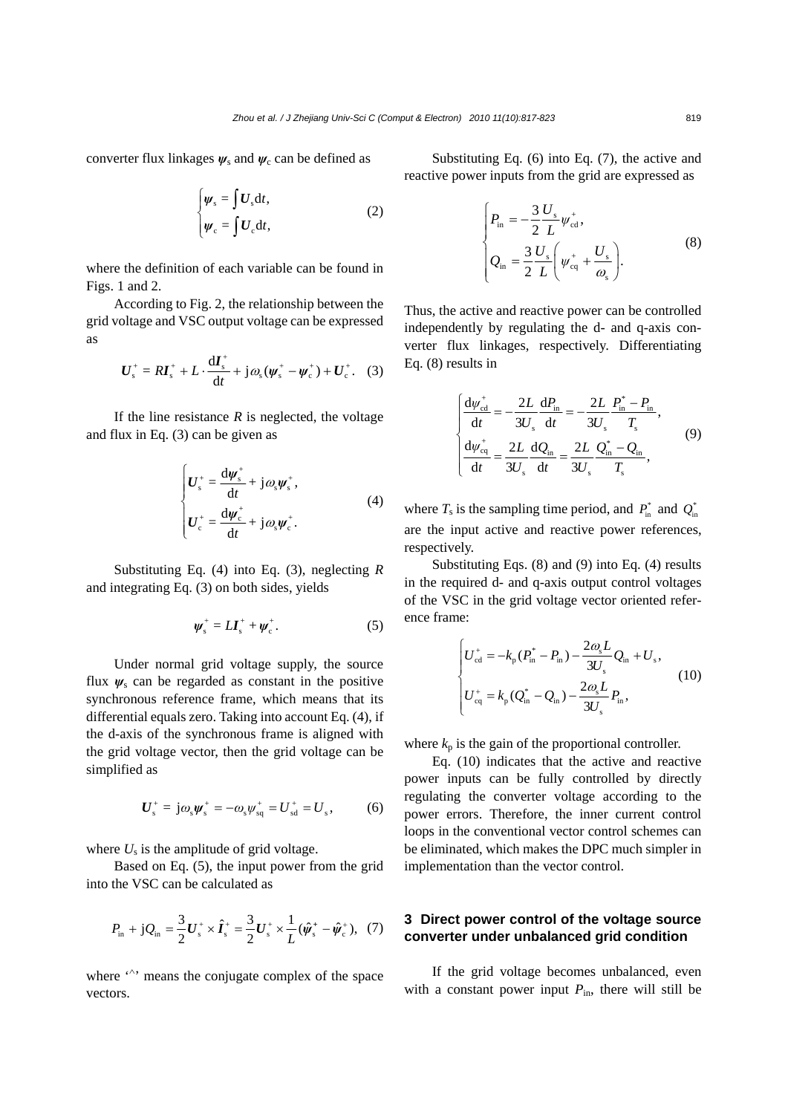converter flux linkages  $\psi_s$  and  $\psi_c$  can be defined as

$$
\begin{cases} \Psi_{\rm s} = \int U_{\rm s} \mathrm{d}t, \\ \Psi_{\rm c} = \int U_{\rm c} \mathrm{d}t, \end{cases}
$$
 (2)

where the definition of each variable can be found in Figs. 1 and 2.

According to Fig. 2, the relationship between the grid voltage and VSC output voltage can be expressed as

$$
U_s^+ = RI_s^+ + L \cdot \frac{dI_s^+}{dt} + j\omega_s(\psi_s^+ - \psi_c^+) + U_c^+.
$$
 (3)

If the line resistance  $R$  is neglected, the voltage and flux in Eq. (3) can be given as

$$
\begin{cases}\nU_s^+ = \frac{\mathrm{d}\psi_s^+}{\mathrm{d}t} + \mathbf{j}\omega_s \psi_s^+, \\
U_c^+ = \frac{\mathrm{d}\psi_c^+}{\mathrm{d}t} + \mathbf{j}\omega_s \psi_c^+.\n\end{cases} \tag{4}
$$

Substituting Eq. (4) into Eq. (3), neglecting *R* and integrating Eq. (3) on both sides, yields

$$
\psi_s^+ = L\mathbf{I}_s^+ + \psi_c^+.\tag{5}
$$

Under normal grid voltage supply, the source flux  $\psi$ <sub>s</sub> can be regarded as constant in the positive synchronous reference frame, which means that its differential equals zero. Taking into account Eq. (4), if the d-axis of the synchronous frame is aligned with the grid voltage vector, then the grid voltage can be simplified as

$$
U_{s}^{+} = j\omega_{s}\psi_{s}^{+} = -\omega_{s}\psi_{sq}^{+} = U_{sd}^{+} = U_{s}^{+},
$$
 (6)

where  $U_s$  is the amplitude of grid voltage.

Based on Eq. (5), the input power from the grid into the VSC can be calculated as

$$
P_{\text{in}} + jQ_{\text{in}} = \frac{3}{2}U_s^+ \times \hat{I}_s^+ = \frac{3}{2}U_s^+ \times \frac{1}{L}(\hat{\psi}_s^+ - \hat{\psi}_c^+), \quad (7)
$$

where <sup>"</sup> means the conjugate complex of the space vectors.

Substituting Eq. (6) into Eq. (7), the active and reactive power inputs from the grid are expressed as

$$
\begin{cases}\nP_{\text{in}} = -\frac{3}{2} \frac{U_{\text{s}}}{L} \psi_{\text{cd}}^{+}, \\
Q_{\text{in}} = \frac{3}{2} \frac{U_{\text{s}}}{L} \left( \psi_{\text{cq}}^{+} + \frac{U_{\text{s}}}{\omega_{\text{s}}} \right).\n\end{cases} (8)
$$

Thus, the active and reactive power can be controlled independently by regulating the d- and q-axis converter flux linkages, respectively. Differentiating Eq. (8) results in

$$
\begin{cases}\n\frac{d\psi_{\text{cd}}^{+}}{dt} = -\frac{2L}{3U_{s}} \frac{dP_{\text{in}}}{dt} = -\frac{2L}{3U_{s}} \frac{P_{\text{in}}^{*} - P_{\text{in}}}{T_{s}},\\
\frac{d\psi_{\text{cq}}^{+}}{dt} = \frac{2L}{3U_{s}} \frac{dQ_{\text{in}}}{dt} = \frac{2L}{3U_{s}} \frac{Q_{\text{in}}^{*} - Q_{\text{in}}}{T_{s}},\n\end{cases}
$$
\n(9)

where  $T_s$  is the sampling time period, and  $P_{in}^*$  and  $Q_{in}^*$ are the input active and reactive power references, respectively.

Substituting Eqs. (8) and (9) into Eq. (4) results in the required d- and q-axis output control voltages of the VSC in the grid voltage vector oriented reference frame:

$$
\begin{cases}\nU_{\text{cd}}^{+} = -k_{\text{p}}(P_{\text{in}}^{*} - P_{\text{in}}) - \frac{2\omega_{\text{s}}L}{3U_{\text{s}}}Q_{\text{in}} + U_{\text{s}}, \\
U_{\text{eq}}^{+} = k_{\text{p}}(Q_{\text{in}}^{*} - Q_{\text{in}}) - \frac{2\omega_{\text{s}}L}{3U_{\text{s}}}P_{\text{in}},\n\end{cases}
$$
\n(10)

where  $k_p$  is the gain of the proportional controller.

Eq. (10) indicates that the active and reactive power inputs can be fully controlled by directly regulating the converter voltage according to the power errors. Therefore, the inner current control loops in the conventional vector control schemes can be eliminated, which makes the DPC much simpler in implementation than the vector control.

## **3 Direct power control of the voltage source converter under unbalanced grid condition**

If the grid voltage becomes unbalanced, even with a constant power input  $P_{\text{in}}$ , there will still be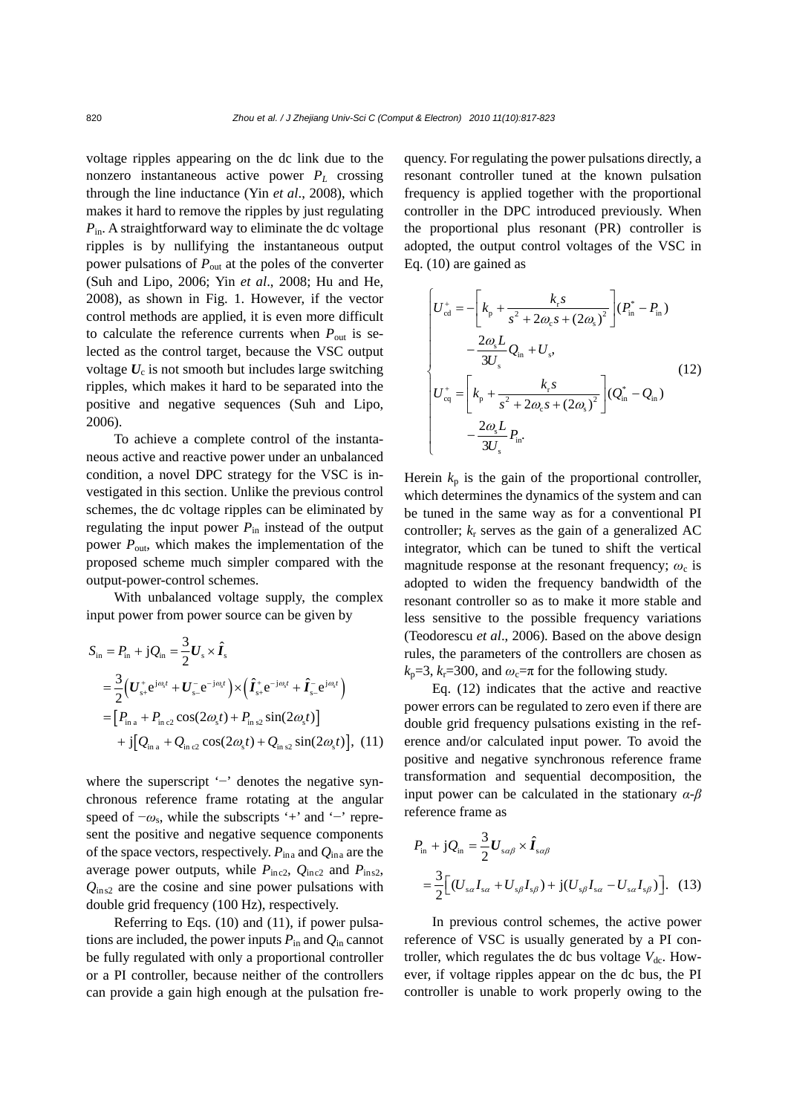voltage ripples appearing on the dc link due to the nonzero instantaneous active power *PL* crossing through the line inductance (Yin *et al*., 2008), which makes it hard to remove the ripples by just regulating *P*in. A straightforward way to eliminate the dc voltage ripples is by nullifying the instantaneous output power pulsations of  $P_{\text{out}}$  at the poles of the converter (Suh and Lipo, 2006; Yin *et al*., 2008; Hu and He, 2008), as shown in Fig. 1. However, if the vector control methods are applied, it is even more difficult to calculate the reference currents when  $P_{\text{out}}$  is selected as the control target, because the VSC output voltage  $U_c$  is not smooth but includes large switching ripples, which makes it hard to be separated into the positive and negative sequences (Suh and Lipo, 2006).

To achieve a complete control of the instantaneous active and reactive power under an unbalanced condition, a novel DPC strategy for the VSC is investigated in this section. Unlike the previous control schemes, the dc voltage ripples can be eliminated by regulating the input power  $P_{\text{in}}$  instead of the output power  $P_{\text{out}}$ , which makes the implementation of the proposed scheme much simpler compared with the output-power-control schemes.

With unbalanced voltage supply, the complex input power from power source can be given by

$$
S_{\text{in}} = P_{\text{in}} + jQ_{\text{in}} = \frac{3}{2}U_s \times \hat{I}_s
$$
  
=  $\frac{3}{2} (U_{s+}^+ e^{j\omega_s t} + U_{s-}^- e^{-j\omega_s t}) \times (\hat{I}_{s+}^+ e^{-j\omega_s t} + \hat{I}_{s-}^- e^{j\omega_s t})$   
=  $[P_{\text{in}a} + P_{\text{in}c2} \cos(2\omega_s t) + P_{\text{in}s2} \sin(2\omega_s t)]$   
+  $j[Q_{\text{in}a} + Q_{\text{in}c2} \cos(2\omega_s t) + Q_{\text{in}s2} \sin(2\omega_s t)],$  (11)

where the superscript '−' denotes the negative synchronous reference frame rotating at the angular speed of  $-\omega_s$ , while the subscripts '+' and '−' represent the positive and negative sequence components of the space vectors, respectively. *P*ina and *Q*ina are the average power outputs, while  $P_{\text{inc2}}$ ,  $Q_{\text{inc2}}$  and  $P_{\text{inc3}}$ , *Q*ins2 are the cosine and sine power pulsations with double grid frequency (100 Hz), respectively.

Referring to Eqs. (10) and (11), if power pulsations are included, the power inputs  $P_{in}$  and  $Q_{in}$  cannot be fully regulated with only a proportional controller or a PI controller, because neither of the controllers can provide a gain high enough at the pulsation frequency. For regulating the power pulsations directly, a resonant controller tuned at the known pulsation frequency is applied together with the proportional controller in the DPC introduced previously. When the proportional plus resonant (PR) controller is adopted, the output control voltages of the VSC in Eq. (10) are gained as

$$
\begin{cases}\nU_{\text{cd}}^{+} = -\left[k_{\text{p}} + \frac{k_{\text{r}}s}{s^{2} + 2\omega_{\text{c}}s + (2\omega_{\text{s}})^{2}}\right](P_{\text{in}}^{*} - P_{\text{in}}) \\
-\frac{2\omega_{\text{s}}L}{3U_{\text{s}}}Q_{\text{in}} + U_{\text{s}}, \\
U_{\text{eq}}^{+} = \left[k_{\text{p}} + \frac{k_{\text{r}}s}{s^{2} + 2\omega_{\text{c}}s + (2\omega_{\text{s}})^{2}}\right](Q_{\text{in}}^{*} - Q_{\text{in}}) \\
-\frac{2\omega_{\text{s}}L}{3U_{\text{s}}}P_{\text{in}}.\n\end{cases}
$$
\n(12)

Herein  $k_p$  is the gain of the proportional controller, which determines the dynamics of the system and can be tuned in the same way as for a conventional PI controller;  $k_r$  serves as the gain of a generalized AC integrator, which can be tuned to shift the vertical magnitude response at the resonant frequency;  $\omega_c$  is adopted to widen the frequency bandwidth of the resonant controller so as to make it more stable and less sensitive to the possible frequency variations (Teodorescu *et al*., 2006). Based on the above design rules, the parameters of the controllers are chosen as  $k_p=3$ ,  $k_r=300$ , and  $\omega_c=\pi$  for the following study.

Eq. (12) indicates that the active and reactive power errors can be regulated to zero even if there are double grid frequency pulsations existing in the reference and/or calculated input power. To avoid the positive and negative synchronous reference frame transformation and sequential decomposition, the input power can be calculated in the stationary  $\alpha$ - $\beta$ reference frame as

$$
P_{\text{in}} + jQ_{\text{in}} = \frac{3}{2} U_{s\alpha\beta} \times \hat{\mathbf{I}}_{s\alpha\beta}
$$
  
= 
$$
\frac{3}{2} \Big[ (U_{s\alpha} I_{s\alpha} + U_{s\beta} I_{s\beta}) + j (U_{s\beta} I_{s\alpha} - U_{s\alpha} I_{s\beta}) \Big].
$$
 (13)

In previous control schemes, the active power reference of VSC is usually generated by a PI controller, which regulates the dc bus voltage  $V_{dc}$ . However, if voltage ripples appear on the dc bus, the PI controller is unable to work properly owing to the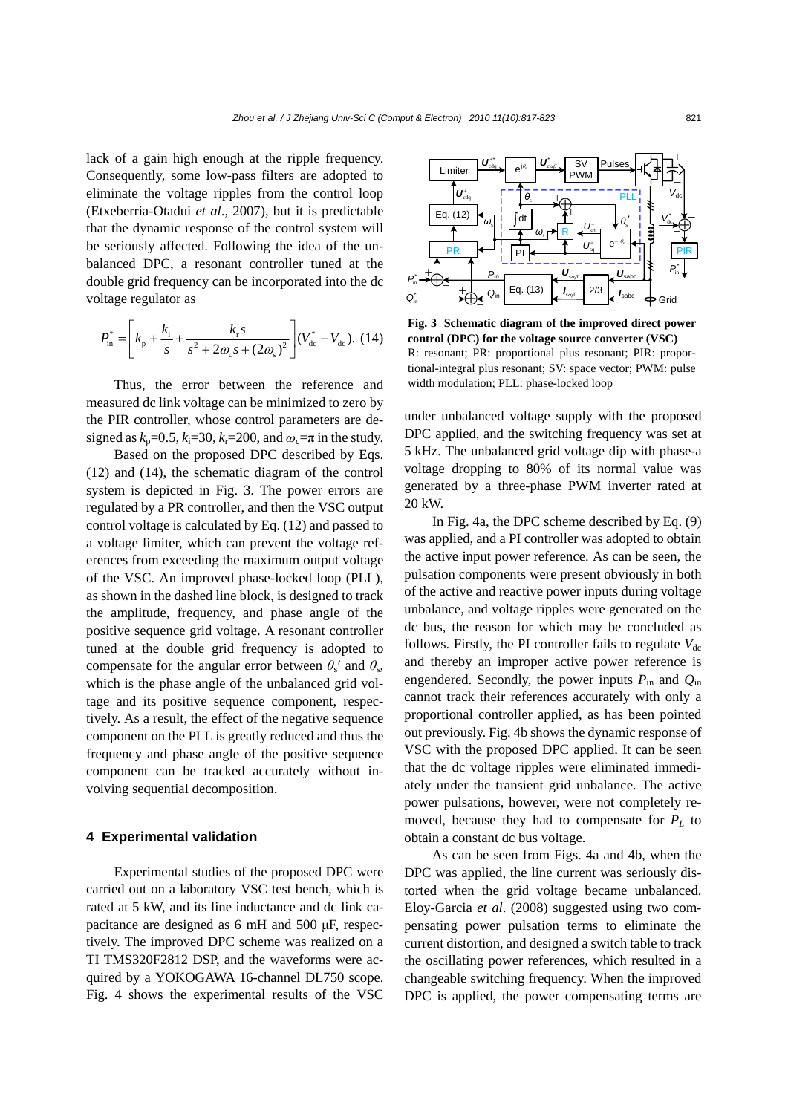lack of a gain high enough at the ripple frequency. Consequently, some low-pass filters are adopted to eliminate the voltage ripples from the control loop (Etxeberria-Otadui *et al*., 2007), but it is predictable that the dynamic response of the control system will be seriously affected. Following the idea of the unbalanced DPC, a resonant controller tuned at the double grid frequency can be incorporated into the dc voltage regulator as

$$
P_{\text{in}}^* = \left[k_{\text{p}} + \frac{k_{\text{i}}}{s} + \frac{k_{\text{r}}s}{s^2 + 2\omega_{\text{c}}s + (2\omega_{\text{s}})^2}\right] (V_{\text{dc}}^* - V_{\text{dc}}). (14)
$$

Thus, the error between the reference and measured dc link voltage can be minimized to zero by the PIR controller, whose control parameters are designed as  $k_p=0.5$ ,  $k_i=30$ ,  $k_r=200$ , and  $\omega_c=\pi$  in the study.

Based on the proposed DPC described by Eqs. (12) and (14), the schematic diagram of the control system is depicted in Fig. 3. The power errors are regulated by a PR controller, and then the VSC output control voltage is calculated by Eq. (12) and passed to a voltage limiter, which can prevent the voltage references from exceeding the maximum output voltage of the VSC. An improved phase-locked loop (PLL), as shown in the dashed line block, is designed to track the amplitude, frequency, and phase angle of the positive sequence grid voltage. A resonant controller tuned at the double grid frequency is adopted to compensate for the angular error between  $\theta_s$ <sup>'</sup> and  $\theta_s$ , which is the phase angle of the unbalanced grid voltage and its positive sequence component, respectively. As a result, the effect of the negative sequence component on the PLL is greatly reduced and thus the frequency and phase angle of the positive sequence component can be tracked accurately without involving sequential decomposition.

### **4 Experimental validation**

Experimental studies of the proposed DPC were carried out on a laboratory VSC test bench, which is rated at 5 kW, and its line inductance and dc link capacitance are designed as 6 mH and 500 μF, respectively. The improved DPC scheme was realized on a TI TMS320F2812 DSP, and the waveforms were acquired by a YOKOGAWA 16-channel DL750 scope. Fig. 4 shows the experimental results of the VSC



**Fig. 3 Schematic diagram of the improved direct power control (DPC) for the voltage source converter (VSC)**  R: resonant; PR: proportional plus resonant; PIR: proportional-integral plus resonant; SV: space vector; PWM: pulse width modulation; PLL: phase-locked loop

under unbalanced voltage supply with the proposed DPC applied, and the switching frequency was set at 5 kHz. The unbalanced grid voltage dip with phase-a voltage dropping to 80% of its normal value was generated by a three-phase PWM inverter rated at 20 kW.

In Fig. 4a, the DPC scheme described by Eq. (9) was applied, and a PI controller was adopted to obtain the active input power reference. As can be seen, the pulsation components were present obviously in both of the active and reactive power inputs during voltage unbalance, and voltage ripples were generated on the dc bus, the reason for which may be concluded as follows. Firstly, the PI controller fails to regulate  $V_{dc}$ and thereby an improper active power reference is engendered. Secondly, the power inputs *P*in and *Q*in cannot track their references accurately with only a proportional controller applied, as has been pointed out previously. Fig. 4b shows the dynamic response of VSC with the proposed DPC applied. It can be seen that the dc voltage ripples were eliminated immediately under the transient grid unbalance. The active power pulsations, however, were not completely removed, because they had to compensate for  $P_L$  to obtain a constant dc bus voltage.

As can be seen from Figs. 4a and 4b, when the DPC was applied, the line current was seriously distorted when the grid voltage became unbalanced. Eloy-Garcia *et al*. (2008) suggested using two compensating power pulsation terms to eliminate the current distortion, and designed a switch table to track the oscillating power references, which resulted in a changeable switching frequency. When the improved DPC is applied, the power compensating terms are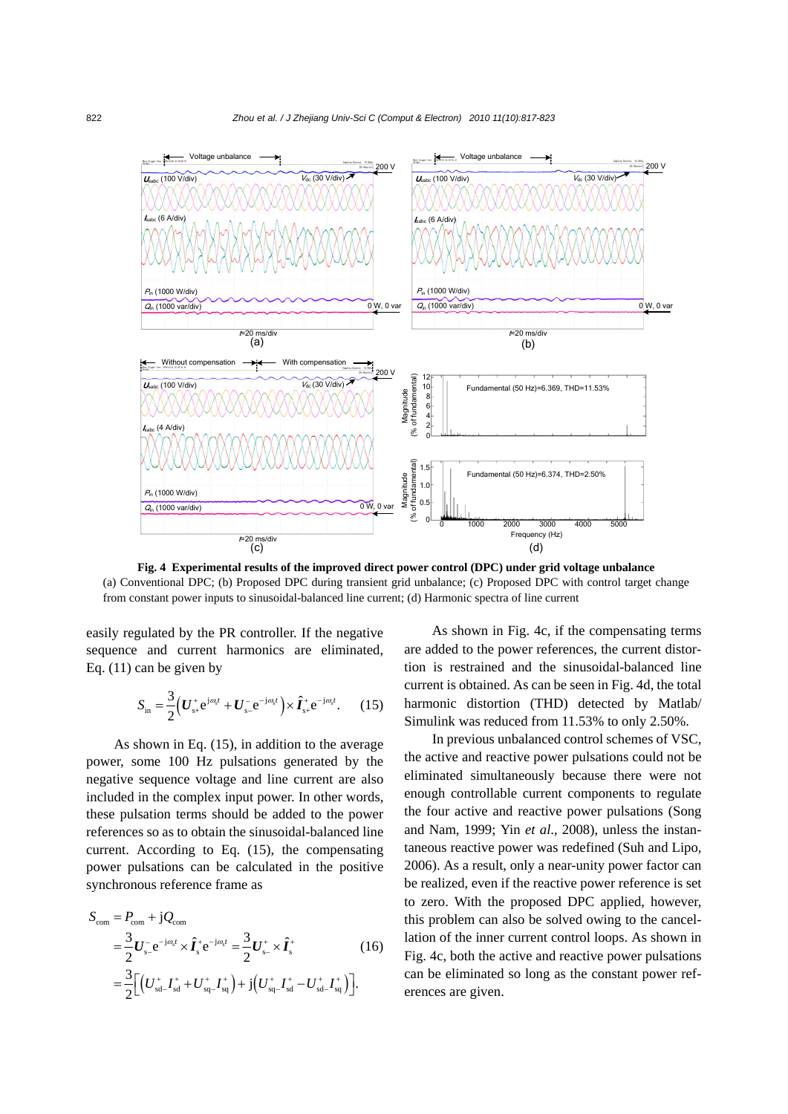

**Fig. 4 Experimental results of the improved direct power control (DPC) under grid voltage unbalance**  (a) Conventional DPC; (b) Proposed DPC during transient grid unbalance; (c) Proposed DPC with control target change from constant power inputs to sinusoidal-balanced line current; (d) Harmonic spectra of line current

easily regulated by the PR controller. If the negative sequence and current harmonics are eliminated, Eq. (11) can be given by

$$
S_{\rm in} = \frac{3}{2} \left( \boldsymbol{U}_{\rm s+}^{+} \mathrm{e}^{\mathrm{j} \omega_{\rm s} t} + \boldsymbol{U}_{\rm s-}^{-} \mathrm{e}^{-\mathrm{j} \omega_{\rm s} t} \right) \times \hat{\boldsymbol{I}}_{\rm s+}^{+} \mathrm{e}^{-\mathrm{j} \omega_{\rm s} t} \,. \tag{15}
$$

As shown in Eq. (15), in addition to the average power, some 100 Hz pulsations generated by the negative sequence voltage and line current are also included in the complex input power. In other words, these pulsation terms should be added to the power references so as to obtain the sinusoidal-balanced line current. According to Eq. (15), the compensating power pulsations can be calculated in the positive synchronous reference frame as

$$
S_{\text{com}} = P_{\text{com}} + jQ_{\text{com}}
$$
  
=  $\frac{3}{2}U_{s}^{-}e^{-j\omega_{s}t} \times \hat{I}_{s}^{+}e^{-j\omega_{s}t} = \frac{3}{2}U_{s}^{+} \times \hat{I}_{s}^{+}$   
=  $\frac{3}{2}\Big[\Big(U_{\text{sd}}^{+}I_{\text{sd}}^{+} + U_{\text{sq}}^{+}I_{\text{sq}}^{+}\Big) + j\Big(U_{\text{sq}}^{+}I_{\text{sd}}^{+} - U_{\text{sd}}^{+}I_{\text{sq}}^{+}\Big)\Big].$  (16)

As shown in Fig. 4c, if the compensating terms are added to the power references, the current distortion is restrained and the sinusoidal-balanced line current is obtained. As can be seen in Fig. 4d, the total harmonic distortion (THD) detected by Matlab/ Simulink was reduced from 11.53% to only 2.50%.

In previous unbalanced control schemes of VSC, the active and reactive power pulsations could not be eliminated simultaneously because there were not enough controllable current components to regulate the four active and reactive power pulsations (Song and Nam, 1999; Yin *et al*., 2008), unless the instantaneous reactive power was redefined (Suh and Lipo, 2006). As a result, only a near-unity power factor can be realized, even if the reactive power reference is set to zero. With the proposed DPC applied, however, this problem can also be solved owing to the cancellation of the inner current control loops. As shown in Fig. 4c, both the active and reactive power pulsations can be eliminated so long as the constant power references are given.